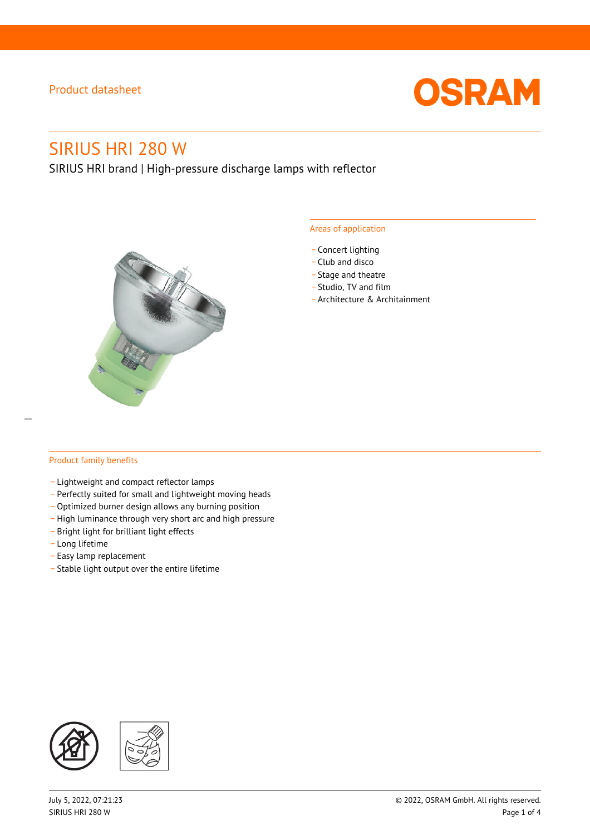

# SIRIUS HRI 280 W

SIRIUS HRI brand | High-pressure discharge lamps with reflector



#### Areas of application

- Concert lighting
- \_ Club and disco
- Stage and theatre
- \_ Studio, TV and film
- \_ Architecture & Architainment

#### Product family benefits

- \_ Lightweight and compact reflector lamps
- \_ Perfectly suited for small and lightweight moving heads
- Optimized burner design allows any burning position
- High luminance through very short arc and high pressure
- \_ Bright light for brilliant light effects
- \_ Long lifetime
- \_ Easy lamp replacement
- \_ Stable light output over the entire lifetime

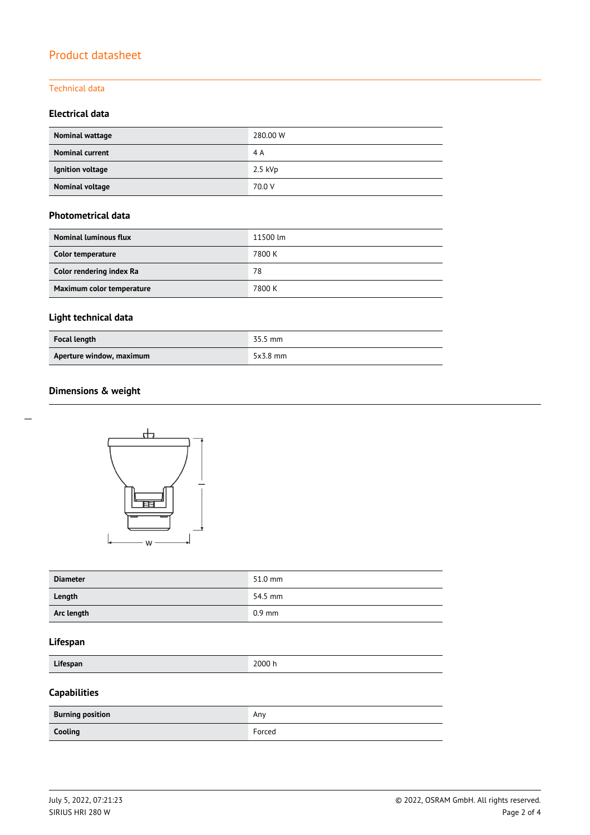#### Technical data

#### **Electrical data**

| Nominal wattage        | 280.00 W  |
|------------------------|-----------|
| <b>Nominal current</b> | 4 A       |
| Ignition voltage       | $2.5$ kVp |
| Nominal voltage        | 70.0 V    |

### **Photometrical data**

| <b>Nominal luminous flux</b> | 11500 lm |
|------------------------------|----------|
| Color temperature            | 7800 K   |
| Color rendering index Ra     | 78       |
| Maximum color temperature    | 7800 K   |

# **Light technical data**

| Focal length             | 35.5 mm    |
|--------------------------|------------|
| Aperture window, maximum | $5x3.8$ mm |

### **Dimensions & weight**



| <b>Diameter</b> | 51.0 mm  |
|-----------------|----------|
| Length          | 54.5 mm  |
| Arc length      | $0.9$ mm |

#### **Lifespan**

**Lifespan** 2000 h

# **Capabilities**

| <b>Burning position</b> | Anv    |
|-------------------------|--------|
| Cooling                 | Forced |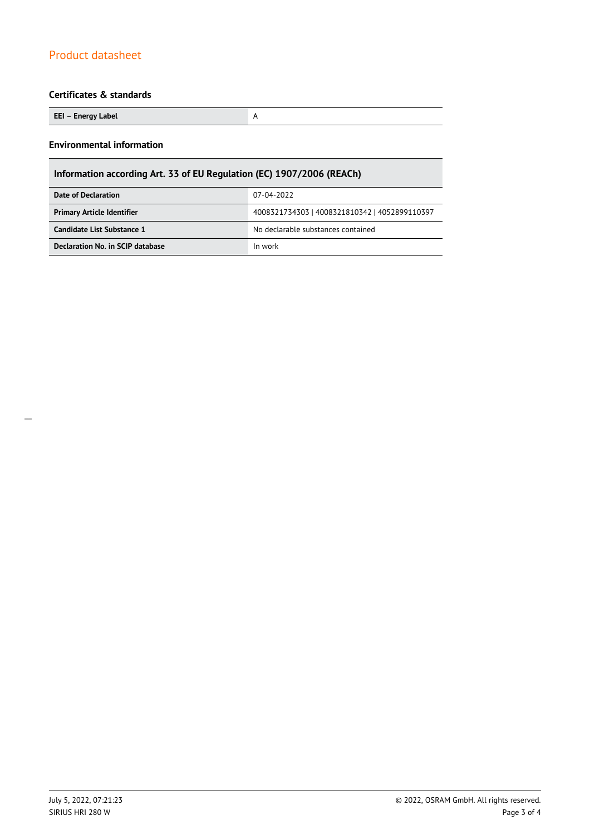#### **Certificates & standards**

**EEI – Energy Label** A

#### **Environmental information**

# **Information according Art. 33 of EU Regulation (EC) 1907/2006 (REACh)**

| Date of Declaration               | 07-04-2022                                    |  |  |
|-----------------------------------|-----------------------------------------------|--|--|
| <b>Primary Article Identifier</b> | 4008321734303   4008321810342   4052899110397 |  |  |
| Candidate List Substance 1        | No declarable substances contained            |  |  |
| Declaration No. in SCIP database  | In work                                       |  |  |